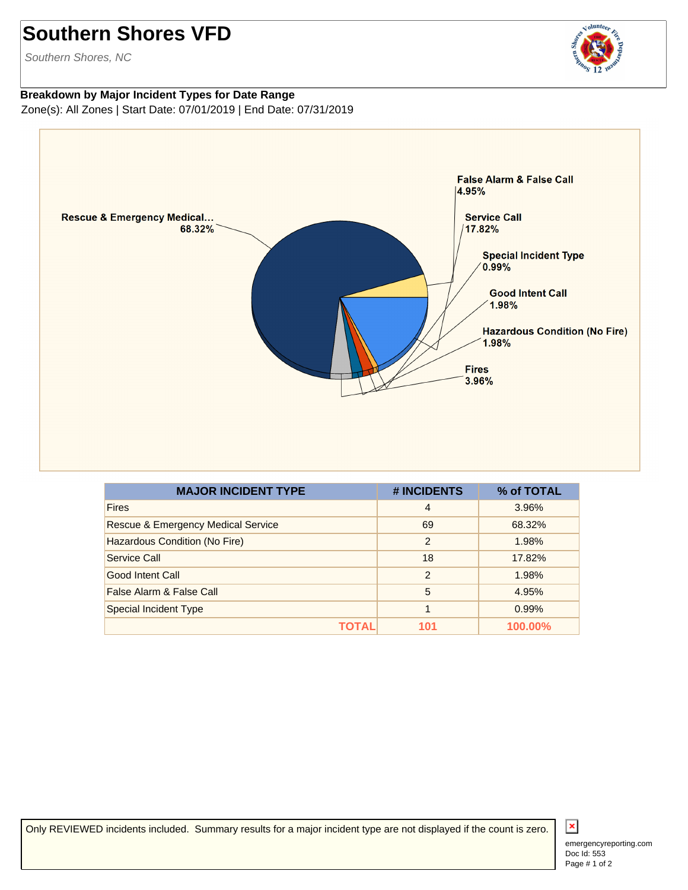## **Southern Shores VFD**

Southern Shores, NC

## **Breakdown by Major Incident Types for Date Range** Zone(s): All Zones | Start Date: 07/01/2019 | End Date: 07/31/2019



| <b>MAJOR INCIDENT TYPE</b>                    | # INCIDENTS    | % of TOTAL |
|-----------------------------------------------|----------------|------------|
| <b>Fires</b>                                  | $\overline{4}$ | 3.96%      |
| <b>Rescue &amp; Emergency Medical Service</b> | 69             | 68.32%     |
| Hazardous Condition (No Fire)                 | $\overline{2}$ | 1.98%      |
| Service Call                                  | 18             | 17.82%     |
| Good Intent Call                              | $\mathcal{P}$  | 1.98%      |
| False Alarm & False Call                      | 5              | 4.95%      |
| <b>Special Incident Type</b>                  |                | 0.99%      |
|                                               | 101            | 100.00%    |

Only REVIEWED incidents included. Summary results for a major incident type are not displayed if the count is zero.



Joluntee,